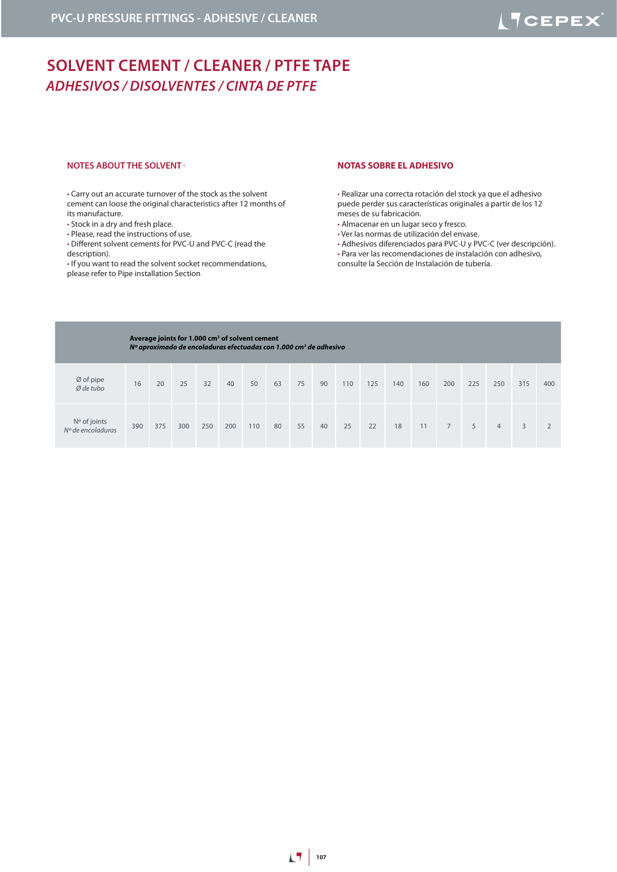# **SOLVENT CEMENT / CLEANER / PTFE TAPE**  *ADHESIVOS / DISOLVENTES / CINTA DE PTFE*

#### **NOTES ABOUT THE SOLVENT CEMENT CEMENT CEMENT CONTAINS SOBRE EL ADHESIVO**

• Carry out an accurate turnover of the stock as the solvent cement can loose the original characteristics after 12 months of its manufacture.

- Stock in a dry and fresh place.
- Please, read the instructions of use.
- Different solvent cements for PVC-U and PVC-C (read the description).
- If you want to read the solvent socket recommendations, please refer to Pipe installation Section

• Realizar una correcta rotación del stock ya que el adhesivo puede perder sus características originales a partir de los 12 meses de su fabricación.

- Almacenar en un lugar seco y fresco.
- Ver las normas de utilización del envase.
- Adhesivos diferenciados para PVC-U y PVC-C (ver descripción).
- Para ver las recomendaciones de instalación con adhesivo, consulte la Sección de Instalación de tubería.

| Average joints for 1.000 cm <sup>3</sup> of solvent cement<br>Nº aproximado de encoladuras efectuadas con 1.000 cm <sup>3</sup> de adhesivo |     |     |     |     |     |     |    |    |    |     |     |     |     |                |     |     |     |     |
|---------------------------------------------------------------------------------------------------------------------------------------------|-----|-----|-----|-----|-----|-----|----|----|----|-----|-----|-----|-----|----------------|-----|-----|-----|-----|
| Ø of pipe<br>$Ø$ de tubo                                                                                                                    | 16  | 20  | 25  | 32  | 40  | 50  | 63 | 75 | 90 | 110 | 125 | 140 | 160 | 200            | 225 | 250 | 315 | 400 |
| $No$ of joints<br>$No$ de encoladuras                                                                                                       | 390 | 375 | 300 | 250 | 200 | 110 | 80 | 55 | 40 | 25  | 22  | 18  | 11  | $\overline{7}$ | 5   | 4   | 3   |     |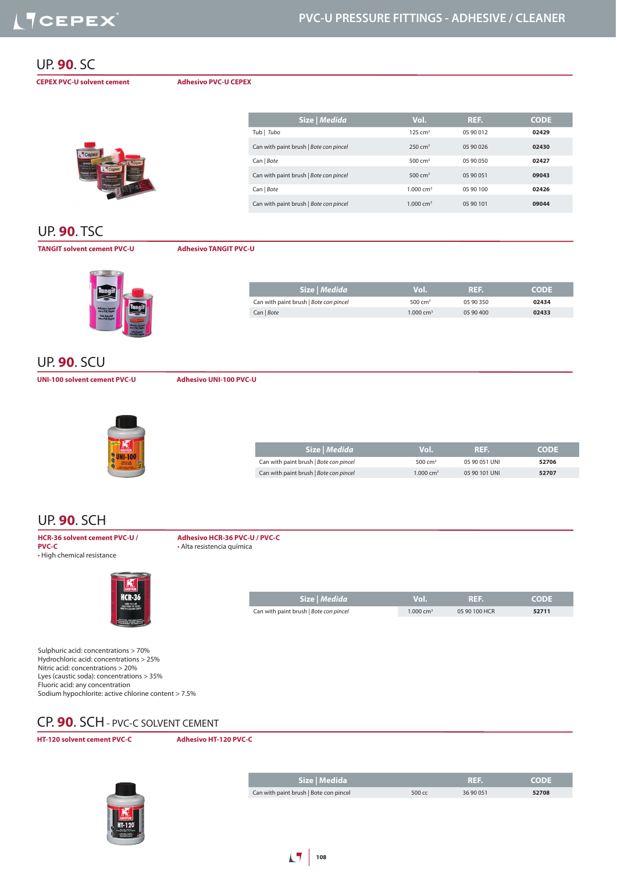#### UP. **90**. SC

**CEPEX PVC-U solvent cement Adhesivo PVC-U CEPEX**

| Cepex<br><b>ADMEST</b>                                                          |                                                                                        | L <sup>T</sup> Cepex                                                                               |
|---------------------------------------------------------------------------------|----------------------------------------------------------------------------------------|----------------------------------------------------------------------------------------------------|
| Meeto y occe<br>de PVC-LJ rigit<br>SCULPAT CEME<br>for PVC-U plan<br>and Grings | $\n  Tepez\n$<br><b>ADMISIVO</b>                                                       | ABARTAYO<br><b><i><i><b>Internet Property</b></i></i></b><br><b>Ouveaux dist</b><br><b>PUP ATA</b> |
| $-$                                                                             | h h-banio y externí<br>de PVC-13 rigida<br><b>SOLVENT CERENT</b><br><b>Ne PVC-U pV</b> |                                                                                                    |
|                                                                                 |                                                                                        |                                                                                                    |

| Size   Medida                          | Vol.                 | REF.      | <b>CODE</b> |
|----------------------------------------|----------------------|-----------|-------------|
| Tub   Tubo                             | $125 \text{ cm}^3$   | 05 90 012 | 02429       |
| Can with paint brush   Bote con pincel | $250 \text{ cm}^3$   | 05 90 026 | 02430       |
| Can   Bote                             | 500 $cm3$            | 05 90 050 | 02427       |
| Can with paint brush   Bote con pincel | 500 $cm3$            | 05 90 051 | 09043       |
| Can   Bote                             | $1.000 \text{ cm}^3$ | 05 90 100 | 02426       |
| Can with paint brush   Bote con pincel | $1.000 \text{ cm}^3$ | 05 90 101 | 09044       |

## UP. **90**. TSC

#### **TANGIT solvent cement PVC-U Adhesivo TANGIT PVC-U**



| 05 90 350 | 02434 |
|-----------|-------|
| 05 90 400 | 02433 |
|           |       |

#### UP. **90**. SCU

**UNI-100 solvent cement PVC-U Adhesivo UNI-100 PVC-U**



| Size   Medida                          | Vol.                 | REF.          | <b>CODE</b> |
|----------------------------------------|----------------------|---------------|-------------|
| Can with paint brush   Bote con pincel | 500 cm <sup>3</sup>  | 05 90 051 UNI | 52706       |
| Can with paint brush   Bote con pincel | $1.000 \text{ cm}^3$ | 05 90 101 UNI | 52707       |

**Size |** *Medida* **Vol. REF. CODE**

Can with paint brush | *Bote con pincel* 1.000 cm<sup>3</sup> 05 90 100 HCR **52711** 

## UP. **90**. SCH

**HCR-36 solvent cement PVC-U / PVC-C** • High chemical resistance



**Adhesivo HCR-36 PVC-U / PVC-C** • Alta resistencia química

Sulphuric acid: concentrations > 70% Hydrochloric acid: concentrations > 25% Nitric acid: concentrations > 20% Lyes (caustic soda): concentrations > 35% Fluoric acid: any concentration Sodium hypochlorite: active chlorine content > 7.5%

## CP. **90**. SCH - PVC-C SOLVENT CEMENT

**HT-120 solvent cement PVC-C Adhesivo HT-120 PVC-C**



| Size   Medida                          |        | . REF.    | <b>CODE</b> |
|----------------------------------------|--------|-----------|-------------|
| Can with paint brush   Bote con pincel | 500 cc | 36 90 051 | 52708       |